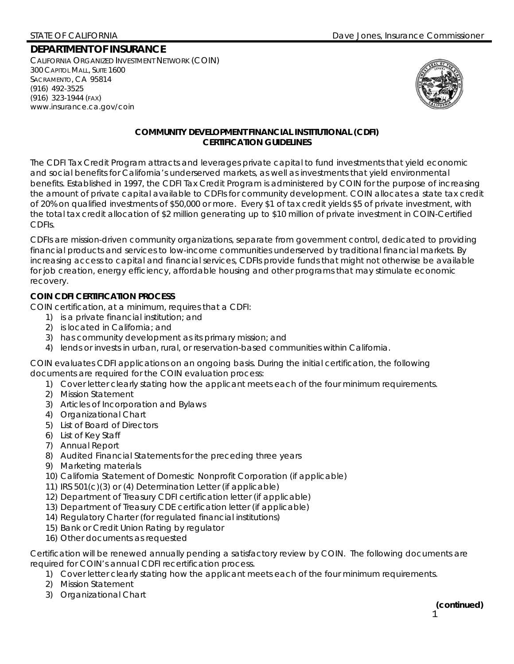# **DEPARTMENT OF INSURANCE**

CALIFORNIA ORGANIZED INVESTMENT NETWORK (COIN) 300 CAPITOL MALL, SUITE 1600 SACRAMENTO, CA 95814 (916) 492-3525 (916) 323-1944 (FAX) www.insurance.ca.gov/coin



## **COMMUNITY DEVELOPMENT FINANCIAL INSTITUTIONAL (CDFI) CERTIFICATION GUIDELINES**

The CDFI Tax Credit Program attracts and leverages private capital to fund investments that yield economic and social benefits for California's underserved markets, as well as investments that yield environmental benefits. Established in 1997, the CDFI Tax Credit Program is administered by COIN for the purpose of increasing the amount of private capital available to CDFIs for community development. COIN allocates a state tax credit of 20% on qualified investments of \$50,000 or more. Every \$1 of tax credit yields \$5 of private investment, with the total tax credit allocation of \$2 million generating up to \$10 million of private investment in COIN-Certified CDFIs.

CDFIs are mission-driven community organizations, separate from government control, dedicated to providing financial products and services to low-income communities underserved by traditional financial markets. By increasing access to capital and financial services, CDFIs provide funds that might not otherwise be available for job creation, energy efficiency, affordable housing and other programs that may stimulate economic recovery.

# **COIN CDFI CERTIFICATION PROCESS**

COIN certification, at a minimum, requires that a CDFI:

- 1) is a private financial institution; and
- 2) is located in California; and
- 3) has community development as its primary mission; and
- 4) lends or invests in urban, rural, or reservation-based communities within California.

COIN evaluates CDFI applications on an ongoing basis. During the initial certification, the following documents are required for the COIN evaluation process:

- 1) Cover letter clearly stating how the applicant meets each of the four minimum requirements.
- 2) Mission Statement
- 3) Articles of Incorporation and Bylaws
- 4) Organizational Chart
- 5) List of Board of Directors
- 6) List of Key Staff
- 7) Annual Report
- 8) Audited Financial Statements for the preceding three years
- 9) Marketing materials
- 10) California Statement of Domestic Nonprofit Corporation (if applicable)
- 11) IRS 501(c)(3) or (4) Determination Letter (if applicable)
- 12) Department of Treasury CDFI certification letter (if applicable)
- 13) Department of Treasury CDE certification letter (if applicable)
- 14) Regulatory Charter (for regulated financial institutions)
- 15) Bank or Credit Union Rating by regulator
- 16) Other documents as requested

Certification will be renewed annually pending a satisfactory review by COIN. The following documents are required for COIN's annual CDFI recertification process.

- 1) Cover letter clearly stating how the applicant meets each of the four minimum requirements.
- 2) Mission Statement
- 3) Organizational Chart

 $\sim$  1 **(***continued)*